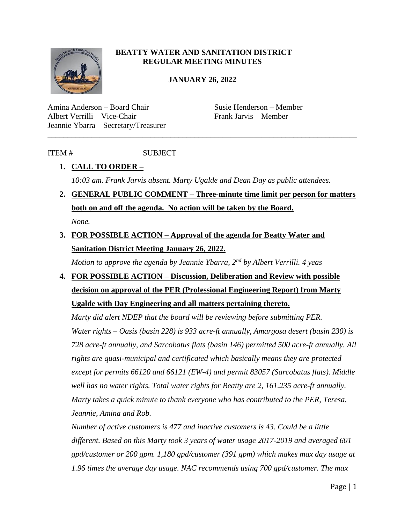

#### **BEATTY WATER AND SANITATION DISTRICT REGULAR MEETING MINUTES**

#### **JANUARY 26, 2022**

Amina Anderson – Board Chair Susie Henderson – Member Albert Verrilli – Vice-Chair Frank Jarvis – Member Jeannie Ybarra – Secretary/Treasurer

### ITEM # SUBJECT

## **1. CALL TO ORDER –**

*10:03 am. Frank Jarvis absent. Marty Ugalde and Dean Day as public attendees.* 

\_\_\_\_\_\_\_\_\_\_\_\_\_\_\_\_\_\_\_\_\_\_\_\_\_\_\_\_\_\_\_\_\_\_\_\_\_\_\_\_\_\_\_\_\_\_\_\_\_\_\_\_\_\_\_\_\_\_\_\_\_\_\_\_\_\_\_\_\_\_\_\_\_\_\_\_\_\_

**2. GENERAL PUBLIC COMMENT – Three-minute time limit per person for matters both on and off the agenda. No action will be taken by the Board.** *None.*

# **3. FOR POSSIBLE ACTION – Approval of the agenda for Beatty Water and Sanitation District Meeting January 26, 2022.**

*Motion to approve the agenda by Jeannie Ybarra, 2nd by Albert Verrilli. 4 yeas*

**4. FOR POSSIBLE ACTION – Discussion, Deliberation and Review with possible decision on approval of the PER (Professional Engineering Report) from Marty Ugalde with Day Engineering and all matters pertaining thereto.**

*Marty did alert NDEP that the board will be reviewing before submitting PER. Water rights – Oasis (basin 228) is 933 acre-ft annually, Amargosa desert (basin 230) is 728 acre-ft annually, and Sarcobatus flats (basin 146) permitted 500 acre-ft annually. All rights are quasi-municipal and certificated which basically means they are protected except for permits 66120 and 66121 (EW-4) and permit 83057 (Sarcobatus flats). Middle well has no water rights. Total water rights for Beatty are 2, 161.235 acre-ft annually. Marty takes a quick minute to thank everyone who has contributed to the PER, Teresa, Jeannie, Amina and Rob.* 

*Number of active customers is 477 and inactive customers is 43. Could be a little different. Based on this Marty took 3 years of water usage 2017-2019 and averaged 601 gpd/customer or 200 gpm. 1,180 gpd/customer (391 gpm) which makes max day usage at 1.96 times the average day usage. NAC recommends using 700 gpd/customer. The max*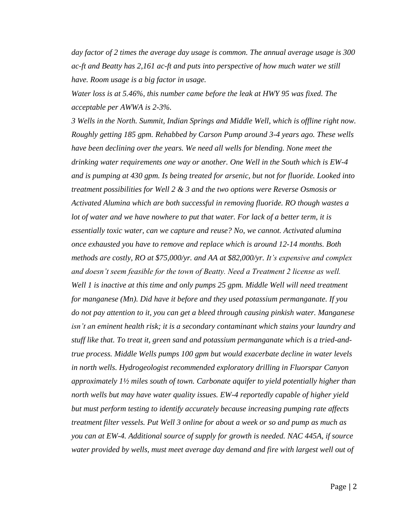*day factor of 2 times the average day usage is common. The annual average usage is 300 ac-ft and Beatty has 2,161 ac-ft and puts into perspective of how much water we still have. Room usage is a big factor in usage.*

*Water loss is at 5.46%, this number came before the leak at HWY 95 was fixed. The acceptable per AWWA is 2-3%.* 

*3 Wells in the North. Summit, Indian Springs and Middle Well, which is offline right now. Roughly getting 185 gpm. Rehabbed by Carson Pump around 3-4 years ago. These wells have been declining over the years. We need all wells for blending. None meet the drinking water requirements one way or another. One Well in the South which is EW-4 and is pumping at 430 gpm. Is being treated for arsenic, but not for fluoride. Looked into treatment possibilities for Well 2 & 3 and the two options were Reverse Osmosis or Activated Alumina which are both successful in removing fluoride. RO though wastes a lot of water and we have nowhere to put that water. For lack of a better term, it is essentially toxic water, can we capture and reuse? No, we cannot. Activated alumina once exhausted you have to remove and replace which is around 12-14 months. Both methods are costly, RO at \$75,000/yr. and AA at \$82,000/yr. It's expensive and complex and doesn't seem feasible for the town of Beatty. Need a Treatment 2 license as well. Well 1 is inactive at this time and only pumps 25 gpm. Middle Well will need treatment for manganese (Mn). Did have it before and they used potassium permanganate. If you do not pay attention to it, you can get a bleed through causing pinkish water. Manganese isn't an eminent health risk; it is a secondary contaminant which stains your laundry and stuff like that. To treat it, green sand and potassium permanganate which is a tried-andtrue process. Middle Wells pumps 100 gpm but would exacerbate decline in water levels in north wells. Hydrogeologist recommended exploratory drilling in Fluorspar Canyon approximately 1½ miles south of town. Carbonate aquifer to yield potentially higher than north wells but may have water quality issues. EW-4 reportedly capable of higher yield but must perform testing to identify accurately because increasing pumping rate affects treatment filter vessels. Put Well 3 online for about a week or so and pump as much as you can at EW-4. Additional source of supply for growth is needed. NAC 445A, if source water provided by wells, must meet average day demand and fire with largest well out of*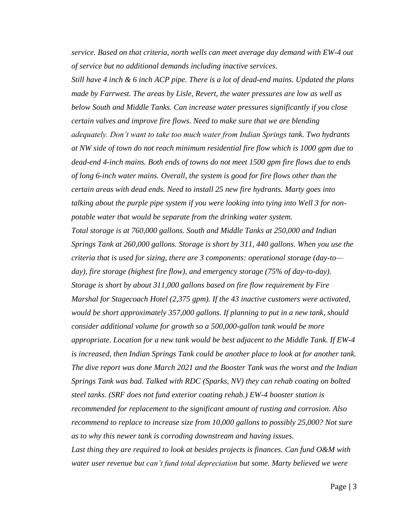*service. Based on that criteria, north wells can meet average day demand with EW-4 out of service but no additional demands including inactive services.* 

*Still have 4 inch & 6 inch ACP pipe. There is a lot of dead-end mains. Updated the plans made by Farrwest. The areas by Lisle, Revert, the water pressures are low as well as below South and Middle Tanks. Can increase water pressures significantly if you close certain valves and improve fire flows. Need to make sure that we are blending adequately. Don't want to take too much water from Indian Springs tank. Two hydrants at NW side of town do not reach minimum residential fire flow which is 1000 gpm due to dead-end 4-inch mains. Both ends of towns do not meet 1500 gpm fire flows due to ends of long 6-inch water mains. Overall, the system is good for fire flows other than the certain areas with dead ends. Need to install 25 new fire hydrants. Marty goes into talking about the purple pipe system if you were looking into tying into Well 3 for nonpotable water that would be separate from the drinking water system. Total storage is at 760,000 gallons. South and Middle Tanks at 250,000 and Indian Springs Tank at 260,000 gallons. Storage is short by 311, 440 gallons. When you use the criteria that is used for sizing, there are 3 components: operational storage (day-to day), fire storage (highest fire flow), and emergency storage (75% of day-to-day). Storage is short by about 311,000 gallons based on fire flow requirement by Fire Marshal for Stagecoach Hotel (2,375 gpm). If the 43 inactive customers were activated, would be short approximately 357,000 gallons. If planning to put in a new tank, should consider additional volume for growth so a 500,000-gallon tank would be more appropriate. Location for a new tank would be best adjacent to the Middle Tank. If EW-4 is increased, then Indian Springs Tank could be another place to look at for another tank. The dive report was done March 2021 and the Booster Tank was the worst and the Indian Springs Tank was bad. Talked with RDC (Sparks, NV) they can rehab coating on bolted steel tanks. (SRF does not fund exterior coating rehab.) EW-4 booster station is recommended for replacement to the significant amount of rusting and corrosion. Also recommend to replace to increase size from 10,000 gallons to possibly 25,000? Not sure as to why this newer tank is corroding downstream and having issues. Last thing they are required to look at besides projects is finances. Can fund O&M with water user revenue but can't fund total depreciation but some. Marty believed we were*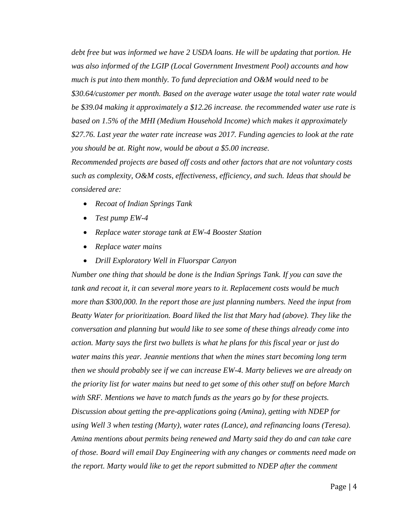*debt free but was informed we have 2 USDA loans. He will be updating that portion. He was also informed of the LGIP (Local Government Investment Pool) accounts and how much is put into them monthly. To fund depreciation and O&M would need to be \$30.64/customer per month. Based on the average water usage the total water rate would be \$39.04 making it approximately a \$12.26 increase. the recommended water use rate is based on 1.5% of the MHI (Medium Household Income) which makes it approximately \$27.76. Last year the water rate increase was 2017. Funding agencies to look at the rate you should be at. Right now, would be about a \$5.00 increase.* 

*Recommended projects are based off costs and other factors that are not voluntary costs such as complexity, O&M costs, effectiveness, efficiency, and such. Ideas that should be considered are:* 

- *Recoat of Indian Springs Tank*
- *Test pump EW-4*
- *Replace water storage tank at EW-4 Booster Station*
- *Replace water mains*
- *Drill Exploratory Well in Fluorspar Canyon*

*Number one thing that should be done is the Indian Springs Tank. If you can save the tank and recoat it, it can several more years to it. Replacement costs would be much more than \$300,000. In the report those are just planning numbers. Need the input from Beatty Water for prioritization. Board liked the list that Mary had (above). They like the conversation and planning but would like to see some of these things already come into action. Marty says the first two bullets is what he plans for this fiscal year or just do water mains this year. Jeannie mentions that when the mines start becoming long term then we should probably see if we can increase EW-4. Marty believes we are already on the priority list for water mains but need to get some of this other stuff on before March with SRF. Mentions we have to match funds as the years go by for these projects. Discussion about getting the pre-applications going (Amina), getting with NDEP for using Well 3 when testing (Marty), water rates (Lance), and refinancing loans (Teresa). Amina mentions about permits being renewed and Marty said they do and can take care of those. Board will email Day Engineering with any changes or comments need made on the report. Marty would like to get the report submitted to NDEP after the comment*